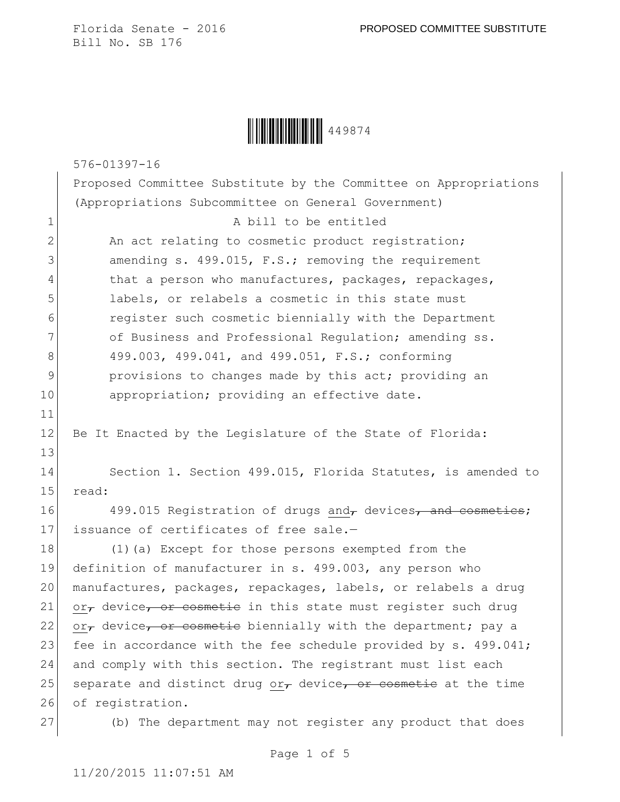**WINKING 449874** 

576-01397-16

Proposed Committee Substitute by the Committee on Appropriations (Appropriations Subcommittee on General Government)

2 An act relating to cosmetic product registration; 3 amending s. 499.015, F.S.; removing the requirement 4 that a person who manufactures, packages, repackages, 5 1abels, or relabels a cosmetic in this state must 6 register such cosmetic biennially with the Department 7 of Business and Professional Regulation; amending ss. 8 499.003, 499.041, and 499.051, F.S.; conforming 9 **provisions to changes made by this act; providing an** 10 appropriation; providing an effective date.

1 A bill to be entitled

12 Be It Enacted by the Legislature of the State of Florida:

14 Section 1. Section 499.015, Florida Statutes, is amended to 15 read:

16 499.015 Registration of drugs and, devices, and cosmetics; 17 issuance of certificates of free sale.-

18 (1)(a) Except for those persons exempted from the 19 definition of manufacturer in s. 499.003, any person who 20 manufactures, packages, repackages, labels, or relabels a drug 21  $\sigma$  or<sub>r</sub> device, or cosmetic in this state must register such drug 22 or<sub>r</sub> device, or cosmetic biennially with the department; pay a 23 fee in accordance with the fee schedule provided by  $s. 499.041$ ; 24 and comply with this section. The registrant must list each 25 separate and distinct drug or $\tau$  device, or cosmetic at the time 26 of registration.

11

13

27 (b) The department may not register any product that does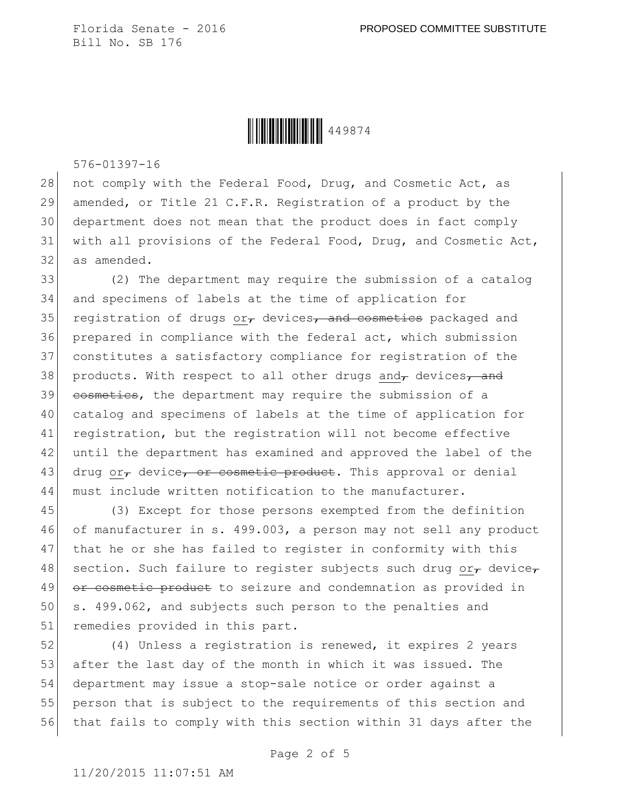Ì449874WÎ449874

576-01397-16

28 not comply with the Federal Food, Drug, and Cosmetic Act, as amended, or Title 21 C.F.R. Registration of a product by the department does not mean that the product does in fact comply with all provisions of the Federal Food, Drug, and Cosmetic Act, as amended.

33 (2) The department may require the submission of a catalog 34 and specimens of labels at the time of application for 35 registration of drugs or, devices, and cosmetics packaged and 36 prepared in compliance with the federal act, which submission 37 constitutes a satisfactory compliance for registration of the 38 products. With respect to all other drugs and devices, and 39 cosmetics, the department may require the submission of a 40 catalog and specimens of labels at the time of application for 41 registration, but the registration will not become effective 42 until the department has examined and approved the label of the 43 drug or, device, or cosmetic product. This approval or denial 44 must include written notification to the manufacturer.

45 (3) Except for those persons exempted from the definition 46 of manufacturer in s. 499.003, a person may not sell any product 47 that he or she has failed to register in conformity with this 48 section. Such failure to register subjects such drug or $_{\mathcal{T}}$  device, 49 or cosmetic product to seizure and condemnation as provided in 50 s. 499.062, and subjects such person to the penalties and 51 remedies provided in this part.

52 (4) Unless a registration is renewed, it expires 2 years 53 after the last day of the month in which it was issued. The 54 department may issue a stop-sale notice or order against a 55 person that is subject to the requirements of this section and 56 that fails to comply with this section within 31 days after the

Page 2 of 5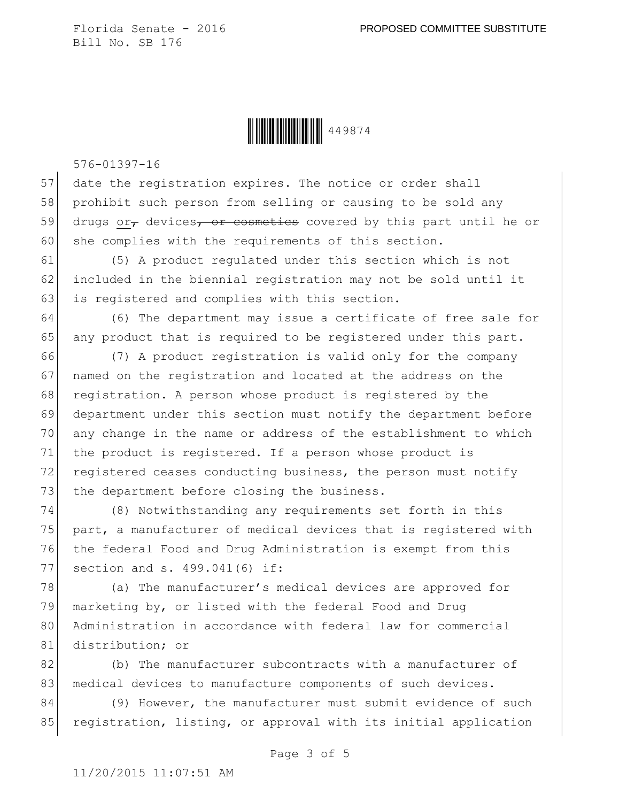Ì449874WÎ449874

576-01397-16

57 date the registration expires. The notice or order shall 58 prohibit such person from selling or causing to be sold any 59 drugs or $\tau$  devices, or cosmetics covered by this part until he or 60 she complies with the requirements of this section.

61 (5) A product regulated under this section which is not 62 included in the biennial registration may not be sold until it 63 is registered and complies with this section.

64 (6) The department may issue a certificate of free sale for 65 any product that is required to be registered under this part.

66 (7) A product registration is valid only for the company 67 | named on the registration and located at the address on the 68 registration. A person whose product is registered by the 69 department under this section must notify the department before 70 any change in the name or address of the establishment to which 71 the product is registered. If a person whose product is 72 registered ceases conducting business, the person must notify 73 the department before closing the business.

 (8) Notwithstanding any requirements set forth in this part, a manufacturer of medical devices that is registered with the federal Food and Drug Administration is exempt from this section and s. 499.041(6) if:

78 (a) The manufacturer's medical devices are approved for marketing by, or listed with the federal Food and Drug Administration in accordance with federal law for commercial distribution; or

82 (b) The manufacturer subcontracts with a manufacturer of 83 medical devices to manufacture components of such devices.

84 (9) However, the manufacturer must submit evidence of such 85 registration, listing, or approval with its initial application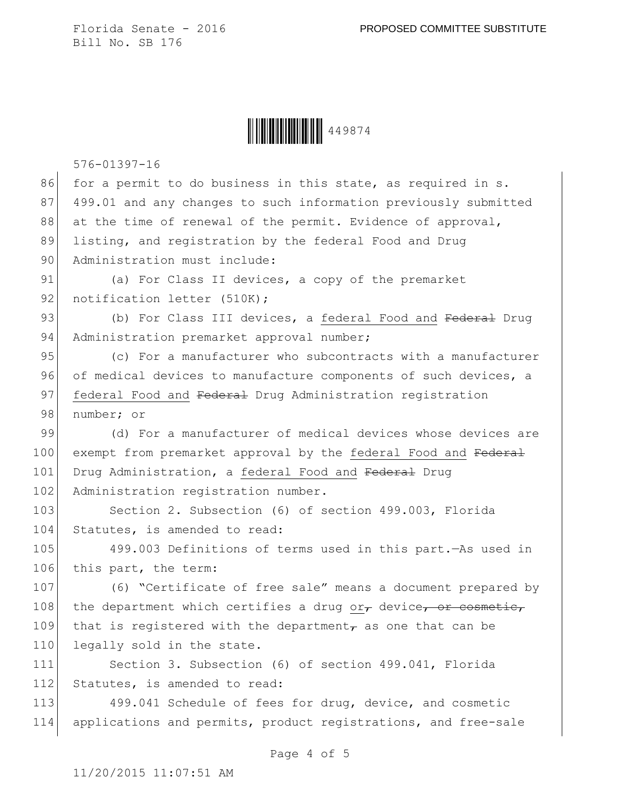**WEING WEING WEING AND 449874** 

576-01397-16

| 86  | for a permit to do business in this state, as required in s.            |
|-----|-------------------------------------------------------------------------|
| 87  | 499.01 and any changes to such information previously submitted         |
| 88  | at the time of renewal of the permit. Evidence of approval,             |
| 89  | listing, and registration by the federal Food and Drug                  |
| 90  | Administration must include:                                            |
| 91  | (a) For Class II devices, a copy of the premarket                       |
| 92  | notification letter (510K);                                             |
| 93  | (b) For Class III devices, a federal Food and Federal Drug              |
| 94  | Administration premarket approval number;                               |
| 95  | (c) For a manufacturer who subcontracts with a manufacturer             |
| 96  | of medical devices to manufacture components of such devices, a         |
| 97  | federal Food and Federal Drug Administration registration               |
| 98  | number; or                                                              |
| 99  | (d) For a manufacturer of medical devices whose devices are             |
| 100 | exempt from premarket approval by the federal Food and Federal          |
| 101 | Drug Administration, a federal Food and Federal Drug                    |
| 102 | Administration registration number.                                     |
| 103 | Section 2. Subsection (6) of section 499.003, Florida                   |
| 104 | Statutes, is amended to read:                                           |
| 105 | 499.003 Definitions of terms used in this part. - As used in            |
| 106 | this part, the term:                                                    |
| 107 | (6) "Certificate of free sale" means a document prepared by             |
| 108 | the department which certifies a drug or $_{\tau}$ device, or cosmetic, |
| 109 | that is registered with the department $_{\tau}$ as one that can be     |
| 110 | legally sold in the state.                                              |
| 111 | Section 3. Subsection (6) of section 499.041, Florida                   |
| 112 | Statutes, is amended to read:                                           |
| 113 | 499.041 Schedule of fees for drug, device, and cosmetic                 |
| 114 | applications and permits, product registrations, and free-sale          |
|     |                                                                         |